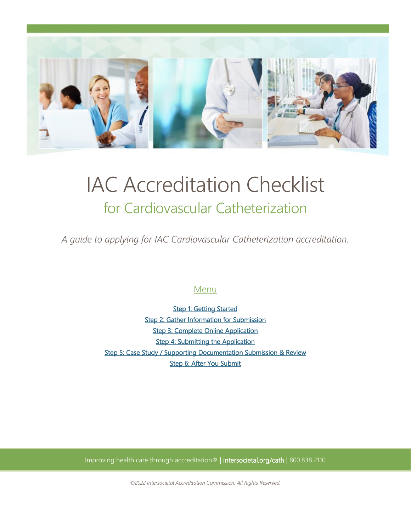

# IAC Accreditation Checklist for Cardiovascular Catheterization

*A guide to applying for IAC Cardiovascular Catheterization accreditation.*

# Menu

**Step 1: Getting Started** [Step 2: Gather Information for Submission](#page-1-1)  [Step 3: Complete Online Application](#page-3-0)  [Step 4: Submitting the Application](#page-3-1)  [Step 5: Case Study / Supporting Documentation Submission & Review](#page-3-2)  [Step 6: After You Submit](#page-4-0) 

Improving health care through accreditation® | intersocietal.org/cath | 800.838.2110

*©2022 Intersocietal Accreditation Commission. All Rights Reserved.*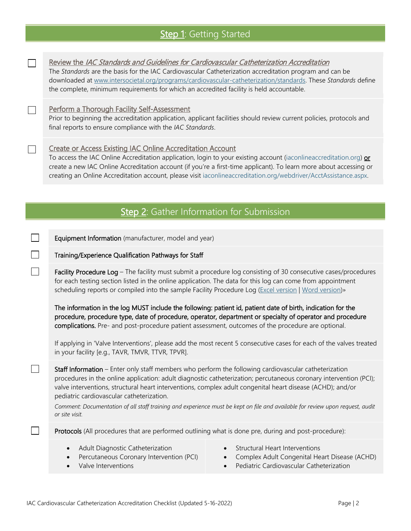# Step 1: Getting Started

<span id="page-1-0"></span>

 $\Box$ 

 $\Box$ 

П

 $\Box$ 

Review the IAC Standards and Guidelines for Cardiovascular Catheterization Accreditation

The *Standards* are the basis for the IAC Cardiovascular Catheterization accreditation program and can be downloaded at [www.intersocietal.org/programs/cardiovascular-catheterization/standards.](http://www.intersocietal.org/programs/cardiovascular-catheterization/standards) These *Standards* define the complete, minimum requirements for which an accredited facility is held accountable.

### Perform a Thorough Facility Self-Assessment

Prior to beginning the accreditation application, applicant facilities should review current policies, protocols and final reports to ensure compliance with the *IAC Standards*.

#### Create or Access Existing IAC Online Accreditation Account

<span id="page-1-1"></span>To access the IAC Online Accreditation application, login to your existing account [\(iaconlineaccreditation.org\)](https://iaconlineaccreditation.org/) or create a new IAC Online Accreditation account (if you're a first-time applicant). To learn more about accessing or creating an Online Accreditation account, please visit [iaconlineaccreditation.org/webdriver/AcctAssistance.aspx.](https://iaconlineaccreditation.org/webdriver/AcctAssistance.aspx)

# Step 2: Gather Information for Submission

Equipment Information (manufacturer, model and year)

#### Training/Experience Qualification Pathways for Staff

Facility Procedure Log – The facility must submit a procedure log consisting of 30 consecutive cases/procedures for each testing section listed in the online application. The data for this log can come from appointment scheduling reports or compiled into the sample Facility Procedure Log [\(Excel version](https://intersocietal.org/document/facility-procedure-log-excel-version-cardiovascular-cath/) | [Word version\)](https://intersocietal.org/document/facility-procedure-log-word-version-cardiovascular-cath/)»

The information in the log MUST include the following: patient id, patient date of birth, indication for the procedure, procedure type, date of procedure, operator, department or specialty of operator and procedure complications. Pre- and post-procedure patient assessment, outcomes of the procedure are optional.

If applying in 'Valve Interventions', please add the most recent 5 consecutive cases for each of the valves treated in your facility [e.g., TAVR, TMVR, TTVR, TPVR].

Staff Information – Enter only staff members who perform the following cardiovascular catheterization procedures in the online application: adult diagnostic catheterization; percutaneous coronary intervention (PCI); valve interventions, structural heart interventions, complex adult congenital heart disease (ACHD); and/or pediatric cardiovascular catheterization.

*Comment: Documentation of all staff training and experience must be kept on file and available for review upon request, audit or site visit.*

Protocols (All procedures that are performed outlining what is done pre, during and post-procedure):

- Adult Diagnostic Catheterization
- Percutaneous Coronary Intervention (PCI)
- Valve Interventions
- Structural Heart Interventions
- Complex Adult Congenital Heart Disease (ACHD)
- Pediatric Cardiovascular Catheterization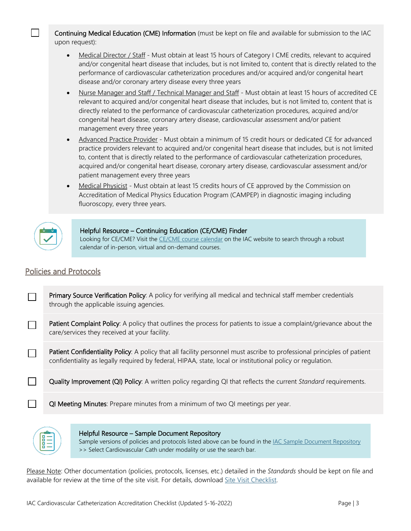Continuing Medical Education (CME) Information (must be kept on file and available for submission to the IAC upon request):

- Medical Director / Staff Must obtain at least 15 hours of Category I CME credits, relevant to acquired and/or congenital heart disease that includes, but is not limited to, content that is directly related to the performance of cardiovascular catheterization procedures and/or acquired and/or congenital heart disease and/or coronary artery disease every three years
- Nurse Manager and Staff / Technical Manager and Staff Must obtain at least 15 hours of accredited CE relevant to acquired and/or congenital heart disease that includes, but is not limited to, content that is directly related to the performance of cardiovascular catheterization procedures, acquired and/or congenital heart disease, coronary artery disease, cardiovascular assessment and/or patient management every three years
- Advanced Practice Provider Must obtain a minimum of 15 credit hours or dedicated CE for advanced practice providers relevant to acquired and/or congenital heart disease that includes, but is not limited to, content that is directly related to the performance of cardiovascular catheterization procedures, acquired and/or congenital heart disease, coronary artery disease, cardiovascular assessment and/or patient management every three years
- Medical Physicist Must obtain at least 15 credits hours of CE approved by the Commission on Accreditation of Medical Physics Education Program (CAMPEP) in diagnostic imaging including fluoroscopy, every three years.



## Helpful Resource – Continuing Education (CE/CME) Finder

Looking for CE/CME? Visit the [CE/CME course calendar](https://intersocietal.org/courses/) on the IAC website to search through a robust calendar of in-person, virtual and on-demand courses.

## Policies and Protocols

| Primary Source Verification Policy: A policy for verifying all medical and technical staff member credentials |
|---------------------------------------------------------------------------------------------------------------|
| through the applicable issuing agencies.                                                                      |

- Patient Complaint Policy: A policy that outlines the process for patients to issue a complaint/grievance about the  $\Box$ care/services they received at your facility.
- Patient Confidentiality Policy: A policy that all facility personnel must ascribe to professional principles of patient  $\Box$ confidentiality as legally required by federal, HIPAA, state, local or institutional policy or regulation.
- $\Box$ Quality Improvement (QI) Policy: A written policy regarding QI that reflects the current *Standard* requirements.
	- QI Meeting Minutes: Prepare minutes from a minimum of two QI meetings per year.



Helpful Resource – Sample Document Repository

Sample versions of policies and protocols listed above can be found in th[e IAC Sample Document Repository](https://intersocietal.org/helpful-resources/sample-documents-repository/) >> Select Cardiovascular Cath under modality or use the search bar.

Please Note: Other documentation (policies, protocols, licenses, etc.) detailed in the *Standards* should be kept on file and available for review at the time of the site visit. For details, download [Site Visit Checklist.](https://intersocietal.org/document/site-visit-checklist-cardiovascular-catheterization/)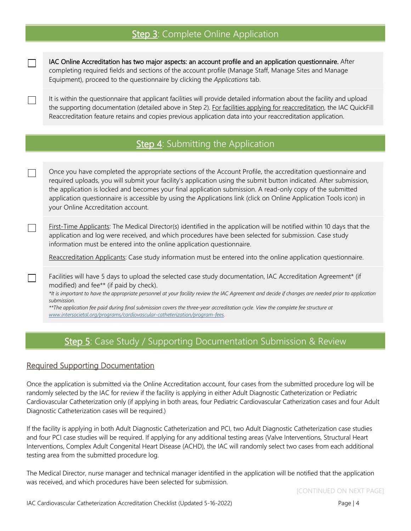# Step 3: Complete Online Application

IAC Online Accreditation has two major aspects: an account profile and an application questionnaire. After completing required fields and sections of the account profile (Manage Staff, Manage Sites and Manage Equipment), proceed to the questionnaire by clicking the *Applications* tab.

It is within the questionnaire that applicant facilities will provide detailed information about the facility and upload the supporting documentation (detailed above in Step 2). For facilities applying for reaccreditation, the IAC QuickFill Reaccreditation feature retains and copies previous application data into your reaccreditation application.

# Step 4: Submitting the Application

Once you have completed the appropriate sections of the Account Profile, the accreditation questionnaire and required uploads, you will submit your facility's application using the submit button indicated. After submission, the application is locked and becomes your final application submission. A read-only copy of the submitted application questionnaire is accessible by using the Applications link (click on Online Application Tools icon) in your Online Accreditation account.

First-Time Applicants: The Medical Director(s) identified in the application will be notified within 10 days that the application and log were received, and which procedures have been selected for submission. Case study information must be entered into the online application questionnaire.

Reaccreditation Applicants: Case study information must be entered into the online application questionnaire.

Facilities will have 5 days to upload the selected case study documentation, IAC Accreditation Agreement\* (if modified) and fee\*\* (if paid by check).

*\*It is important to have the appropriate personnel at your facility review the IAC Agreement and decide if changes are needed prior to application submission.* 

<span id="page-3-2"></span>*\*\*The application fee paid during final submission covers the three-year accreditation cycle. View the complete fee structure at [www.intersocietal.org/programs/cardiovascular-catheterization/program-fees.](http://www.intersocietal.org/programs/cardiovascular-catheterization/program-fees)*

## Step 5: Case Study / Supporting Documentation Submission & Review

## Required Supporting Documentation

<span id="page-3-0"></span> $\Box$ 

<span id="page-3-1"></span> $\Box$ 

 $\Box$ 

 $\Box$ 

 $\mathcal{L}^{\mathcal{L}}$ 

Once the application is submitted via the Online Accreditation account, four cases from the submitted procedure log will be randomly selected by the IAC for review if the facility is applying in either Adult Diagnostic Catheterization or Pediatric Cardiovascular Catheterization only (if applying in both areas, four Pediatric Cardiovascular Catherization cases and four Adult Diagnostic Catheterization cases will be required.)

If the facility is applying in both Adult Diagnostic Catheterization and PCI, two Adult Diagnostic Catheterization case studies and four PCI case studies will be required. If applying for any additional testing areas (Valve Interventions, Structural Heart Interventions, Complex Adult Congenital Heart Disease (ACHD), the IAC will randomly select two cases from each additional testing area from the submitted procedure log.

The Medical Director, nurse manager and technical manager identified in the application will be notified that the application was received, and which procedures have been selected for submission.